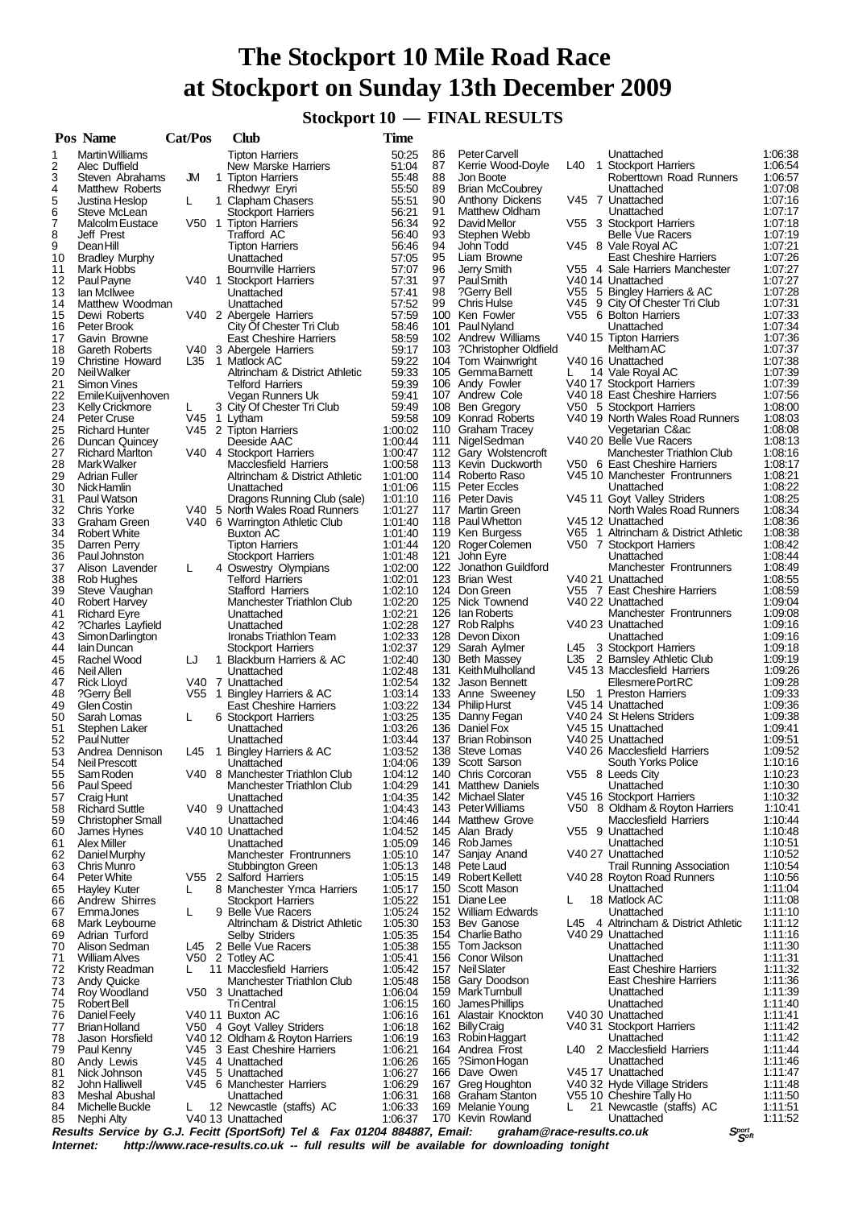# **The Stockport 10 Mile Road Race at Stockport on Sunday 13th December 2009**

 **Stockport 10 — FINAL RESULTS**

|          | Pos Name                                    | Cat/Pos | <b>Club</b>                                                               | <b>Time</b>        |          |                                              |     |                                                           |                    |
|----------|---------------------------------------------|---------|---------------------------------------------------------------------------|--------------------|----------|----------------------------------------------|-----|-----------------------------------------------------------|--------------------|
| 1        | <b>Martin Williams</b>                      |         | <b>Tipton Harriers</b>                                                    | 50:25              | 86       | Peter Carvell                                |     | Unattached                                                | 1:06:38            |
| 2        | Alec Duffield                               |         | New Marske Harriers                                                       | 51:04              | 87       | Kerrie Wood-Dovle                            | L40 | 1 Stockport Harriers                                      | 1.06.54            |
| 3        | Steven Abrahams                             | JM      | 1 Tipton Harriers                                                         | 55:48              | 88       | Jon Boote                                    |     | Roberttown Road Runners                                   | 1:06:57            |
| 4        | Matthew Roberts                             |         | Rhedwyr Eryri                                                             | 55:50              | 89<br>90 | <b>Brian McCoubrey</b>                       |     | Unattached                                                | 1:07:08            |
| 5<br>6   | Justina Heslop<br>Steve McLean              | L       | 1 Clapham Chasers<br><b>Stockport Harriers</b>                            | 55:51<br>56:21     | 91       | Anthony Dickens<br>Matthew Oldham            |     | V45 7 Unattached<br>Unattached                            | 1:07:16<br>1:07:17 |
| 7        | Malcolm Eustace                             |         | V50 1 Tipton Harriers                                                     | 56:34              | 92       | David Mellor                                 |     | V55 3 Stockport Harriers                                  | 1:07:18            |
| 8        | Jeff Prest                                  |         | Trafford AC                                                               | 56:40              | 93       | Stephen Webb                                 |     | <b>Belle Vue Racers</b>                                   | 1:07:19            |
| 9        | DeanHill                                    |         | <b>Tipton Harriers</b>                                                    | 56:46              | 94       | John Todd                                    |     | V45 8 Vale Royal AC                                       | 1:07:21            |
| 10       | <b>Bradley Murphy</b>                       |         | Unattached                                                                | 57:05              | 95       | Liam Browne                                  |     | <b>East Cheshire Harriers</b>                             | 1:07:26            |
| 11       | Mark Hobbs                                  |         | <b>Bournville Harriers</b>                                                | 57:07              | 96       | Jerry Smith                                  |     | V55 4 Sale Harriers Manchester                            | 1:07:27            |
| 12       | Paul Payne                                  |         | V40 1 Stockport Harriers                                                  | 57:31              | 97       | <b>PaulSmith</b>                             |     | V40 14 Unattached                                         | 1:07:27            |
| 13       | lan McIlwee                                 |         | Unattached                                                                | 57:41              | 98       | ?Gerry Bell                                  |     | V55 5 Bingley Harriers & AC                               | 1:07:28            |
| 14       | Matthew Woodman                             |         | Unattached                                                                | 57:52              | 99       | <b>Chris Hulse</b>                           |     | V45 9 City Of Chester Tri Club                            | 1:07:31            |
| 15       | Dewi Roberts                                |         | V40 2 Abergele Harriers                                                   | 57:59              |          | 100 Ken Fowler                               |     | V55 6 Bolton Harriers                                     | 1:07:33            |
| 16<br>17 | Peter Brook                                 |         | City Of Chester Tri Club<br><b>East Cheshire Harriers</b>                 | 58:46<br>58:59     | 101      | PaulNyland<br>102 Andrew Williams            |     | Unattached<br>V40 15 Tipton Harriers                      | 1:07:34<br>1:07:36 |
| 18       | Gavin Browne<br>Gareth Roberts              |         | V40 3 Abergele Harriers                                                   | 59:17              |          | 103 ?Christopher Oldfield                    |     | Meltham AC                                                | 1:07:37            |
| 19       | <b>Christine Howard</b>                     | L35     | 1 Matlock AC                                                              | 59:22              |          | 104 Tom Wainwright                           |     | V40 16 Unattached                                         | 1:07:38            |
| 20       | <b>Neil Walker</b>                          |         | Altrincham & District Athletic                                            | 59:33              |          | 105 GemmaBarnett                             | L.  | 14 Vale Royal AC                                          | 1:07:39            |
| 21       | Simon Vines                                 |         | <b>Telford Harriers</b>                                                   | 59:39              |          | 106 Andy Fowler                              |     | V40 17 Stockport Harriers                                 | 1:07:39            |
| 22       | Emile Kuijvenhoven                          |         | Vegan Runners Uk                                                          | 59:41              |          | 107 Andrew Cole                              |     | V40 18 East Cheshire Harriers                             | 1:07:56            |
| 23       | <b>Kelly Crickmore</b>                      | L       | 3 City Of Chester Tri Club                                                | 59:49              |          | 108 Ben Gregory                              |     | V50 5 Stockport Harriers                                  | 1:08:00            |
| 24       | <b>Peter Cruse</b>                          | V45     | 1 Lytham                                                                  | 59:58              |          | 109 Konrad Roberts                           |     | V40 19 North Wales Road Runners                           | 1:08:03            |
| 25       | <b>Richard Hunter</b>                       |         | V45 2 Tipton Harriers                                                     | 1:00:02            |          | 110 Graham Tracey                            |     | Vegetarian C∾                                             | 1:08:08            |
| 26       | Duncan Quincey                              |         | Deeside AAC                                                               | 1:00:44            | 111      | Nigel Sedman                                 |     | V40 20 Belle Vue Racers                                   | 1:08:13<br>1:08:16 |
| 27<br>28 | <b>Richard Marlton</b><br>Mark Walker       |         | V40 4 Stockport Harriers                                                  | 1:00:47<br>1:00:58 |          | 112 Gary Wolstencroft<br>113 Kevin Duckworth |     | Manchester Triathlon Club<br>V50 6 East Cheshire Harriers | 1:08:17            |
| 29       | <b>Adrian Fuller</b>                        |         | <b>Macclesfield Harriers</b><br>Altrincham & District Athletic            | 1:01:00            |          | 114 Roberto Raso                             |     | V45 10 Manchester Frontrunners                            | 1:08:21            |
| 30       | Nick Hamlin                                 |         | Unattached                                                                | 1:01:06            |          | 115 Peter Eccles                             |     | Unattached                                                | 1:08:22            |
| 31       | Paul Watson                                 |         | Dragons Running Club (sale)                                               | 1:01:10            |          | 116 Peter Davis                              |     | V45 11 Goyt Valley Striders                               | 1:08:25            |
| 32       | Chris Yorke                                 |         | V40 5 North Wales Road Runners                                            | 1:01:27            |          | 117 Martin Green                             |     | North Wales Road Runners                                  | 1:08:34            |
| 33       | Graham Green                                |         | V40 6 Warrington Athletic Club                                            | 1:01:40            |          | 118 Paul Whetton                             |     | V45 12 Unattached                                         | 1:08:36            |
| 34       | <b>Robert White</b>                         |         | Buxton AC                                                                 | 1:01:40            |          | 119 Ken Burgess                              |     | V65 1 Altrincham & District Athletic                      | 1:08:38            |
| 35       | Darren Perry                                |         | <b>Tipton Harriers</b>                                                    | 1.01.44            |          | 120 Roger Colemen                            |     | V50 7 Stockport Harriers                                  | 1:08:42            |
| 36       | Paul Johnston                               |         | <b>Stockport Harriers</b>                                                 | 1:01:48            | 121      | John Eyre                                    |     | Unattached                                                | 1:08:44            |
| 37       | Alison Lavender                             | L       | 4 Oswestry Olympians                                                      | 1:02:00            |          | 122 Jonathon Guildford                       |     | Manchester Frontrunners                                   | 1:08:49            |
| 38       | Rob Hughes                                  |         | <b>Telford Harriers</b>                                                   | 1:02:01            | 123      | Brian West                                   |     | V40 21 Unattached                                         | 1:08:55            |
| 39       | Steve Vaughan                               |         | <b>Stafford Harriers</b>                                                  | 1:02:10            |          | 124 Don Green                                |     | V55 7 East Cheshire Harriers                              | 1:08:59            |
| 40<br>41 | <b>Robert Harvey</b><br><b>Richard Eyre</b> |         | Manchester Triathlon Club                                                 | 1:02:20<br>1:02:21 | 126      | 125 Nick Townend<br>lan Roberts              |     | V40 22 Unattached<br>Manchester Frontrunners              | 1:09:04<br>1.09.08 |
| 42       | ?Charles Layfield                           |         | Unattached<br>Unattached                                                  | 1:02:28            |          | 127 Rob Ralphs                               |     | V40 23 Unattached                                         | 1:09:16            |
| 43       | Simon Darlington                            |         | Ironabs Triathlon Team                                                    | 1:02:33            |          | 128 Devon Dixon                              |     | Unattached                                                | 1:09:16            |
| 44       | lain Duncan                                 |         | <b>Stockport Harriers</b>                                                 | 1:02:37            |          | 129 Sarah Aylmer                             | L45 | 3 Stockport Harriers                                      | 1:09:18            |
| 45       | Rachel Wood                                 | IJ      | 1 Blackburn Harriers & AC                                                 | 1:02:40            |          | 130 Beth Massey                              |     | L35 2 Barnsley Athletic Club                              | 1:09:19            |
| 46       | Neil Allen                                  |         | Unattached                                                                | 1:02:48            |          | 131 KeithMulholland                          |     | V45 13 Macclesfield Harriers                              | 1:09:26            |
| 47       | <b>Rick Lloyd</b>                           |         | V40 7 Unattached                                                          | 1:02:54            |          | 132 Jason Bennett                            |     | Ellesmere Port RC                                         | 1:09:28            |
| 48       | ?Gerry Bell                                 |         | V55 1 Bingley Harriers & AC                                               | 1:03:14            |          | 133 Anne Sweeney                             |     | L50 1 Preston Harriers                                    | 1:09:33            |
| 49       | <b>Glen Costin</b>                          |         | <b>East Cheshire Harriers</b>                                             | 1:03:22            |          | 134 Philip Hurst                             |     | V45 14 Unattached                                         | 1:09:36            |
| 50       | Sarah Lomas                                 | L       | 6 Stockport Harriers                                                      | 1:03:25            |          | 135 Danny Fegan                              |     | V40 24 St Helens Striders                                 | 1:09:38            |
| 51<br>52 | Stephen Laker                               |         | Unattached                                                                | 1:03:26            |          | 136 Daniel Fox<br>137 Brian Robinson         |     | V45 15 Unattached                                         | 1:09:41<br>1:09.51 |
| 53       | PaulNutter<br>Andrea Dennison               |         | Unattached<br>L45 1 Bingley Harriers & AC                                 | 1:03:44<br>1:03:52 |          | 138 Steve Lomas                              |     | V40 25 Unattached<br>V40 26 Macclesfield Harriers         | 1:09:52            |
| 54       | Neil Prescott                               |         | Unattached                                                                | 1:04:06            |          | 139 Scott Sarson                             |     | South Yorks Police                                        | 1:10:16            |
| 55       | Sam Roden                                   |         | V40 8 Manchester Triathlon Club                                           | 1:04:12            |          | 140 Chris Corcoran                           |     | V55 8 Leeds City                                          | 1:10:23            |
| 56       | Paul Speed                                  |         | <b>Manchester Triathlon Club</b>                                          | 1:04:29            | 141      | <b>Matthew Daniels</b>                       |     | Unattached                                                | 1:10:30            |
| 57       | Craig Hunt                                  |         | Unattached                                                                | 1:04:35            |          | 142 Michael Slater                           |     | V45 16 Stockport Harriers                                 | 1:10:32            |
| 58       | <b>Richard Suttle</b>                       |         | V40 9 Unattached                                                          | 1:04:43            |          | 143 Peter Williams                           |     | V50 8 Oldham & Royton Harriers                            | 1:10:41            |
| 59       | <b>Christopher Small</b>                    |         | Unattached                                                                | 1:04:46            |          | 144 Matthew Grove                            |     | <b>Macclesfield Harriers</b>                              | 1:10:44            |
| 60       | James Hynes                                 |         | V40 10 Unattached                                                         | 1:04:52            |          | 145 Alan Brady                               |     | V55 9 Unattached                                          | 1:10:48            |
| 61       | <b>Alex Miller</b>                          |         | Unattached                                                                | 1:05:09            |          | 146 Rob James                                |     | Unattached                                                | 1:10:51            |
| 62       | Daniel Murphy                               |         | Manchester Frontrunners                                                   | 1:05:10            |          | 147 Sanjay Anand                             |     | V40 27 Unattached                                         | 1:10:52<br>1:10:54 |
| 63<br>64 | Chris Munro<br>Peter White                  |         | Stubbington Green<br>V55 2 Salford Harriers                               | 1:05:13<br>1:05:15 |          | 148 Pete Laud<br>149 Robert Kellett          |     | Trail Running Association<br>V40 28 Royton Road Runners   | 1:10:56            |
| 65       | Hayley Kuter                                | L       | 8 Manchester Ymca Harriers                                                | 1:05:17            |          | 150 Scott Mason                              |     | Unattached                                                | 1:11:04            |
| 66       | Andrew Shirres                              |         | <b>Stockport Harriers</b>                                                 | 1:05:22            | 151      | Diane Lee                                    | L   | 18 Matlock AC                                             | 1:11:08            |
| 67       | EmmaJones                                   | L       | 9 Belle Vue Racers                                                        | 1:05:24            |          | 152 William Edwards                          |     | Unattached                                                | 1:11:10            |
| 68       | Mark Leybourne                              |         | Altrincham & District Athletic                                            | 1:05:30            |          | 153 Bev Ganose                               |     | L45 4 Altrincham & District Athletic                      | 1:11:12            |
| 69       | Adrian Turford                              |         | Selby Striders                                                            | 1:05:35            |          | 154 Charlie Batho                            |     | V40 29 Unattached                                         | 1:11:16            |
| 70       | Alison Sedman                               |         | L45 2 Belle Vue Racers                                                    | 1:05:38            |          | 155 Tom Jackson                              |     | Unattached                                                | 1:11:30            |
| 71       | <b>William Alves</b>                        |         | V50 2 Totley AC                                                           | 1:05:41            |          | 156 Conor Wilson                             |     | Unattached                                                | 1:11:31            |
| 72       | Kristy Readman                              | L       | 11 Macclesfield Harriers                                                  | 1:05:42            |          | 157 Neil Slater                              |     | <b>East Cheshire Harriers</b>                             | 1:11:32            |
| 73       | Andy Quicke                                 |         | Manchester Triathlon Club                                                 | 1:05:48            |          | 158 Gary Doodson                             |     | <b>East Cheshire Harriers</b>                             | 1:11:36            |
| 74       | Roy Woodland                                |         | V50 3 Unattached                                                          | 1:06:04            |          | 159 MarkTurnbull                             |     | Unattached                                                | 1:11:39            |
| 75       | Robert Bell                                 |         | Tri Central                                                               | 1:06:15            |          | 160 James Phillips<br>161 Alastair Knockton  |     | Unattached<br>V40 30 Unattached                           | 1:11:40<br>1:11:41 |
| 76<br>77 | Daniel Feely<br><b>Brian Holland</b>        |         | V40 11 Buxton AC<br>V50 4 Goyt Valley Striders                            | 1:06:16<br>1:06:18 |          | 162 Billy Craig                              |     | V40 31 Stockport Harriers                                 | 1:11:42            |
| 78       | Jason Horsfield                             |         | V40 12 Oldham & Royton Harriers                                           | 1:06:19            |          | 163 Robin Haggart                            |     | Unattached                                                | 1:11:42            |
| 79       | Paul Kenny                                  |         | V45 3 East Cheshire Harriers                                              | 1:06:21            |          | 164 Andrea Frost                             |     | L40 2 Macclesfield Harriers                               | 1:11:44            |
| 80       | Andy Lewis                                  |         | V45 4 Unattached                                                          | 1:06:26            | 165      | ?Simon Hogan                                 |     | Unattached                                                | 1:11:46            |
| 81       | Nick Johnson                                |         | V45 5 Unattached                                                          | 1:06:27            |          | 166 Dave Owen                                |     | V45 17 Unattached                                         | 1:11:47            |
| 82       | John Halliwell                              |         | V45 6 Manchester Harriers                                                 | 1:06:29            |          | 167 Greg Houghton                            |     | V40 32 Hyde Village Striders                              | 1:11:48            |
| 83       | Meshal Abushal                              |         | Unattached                                                                | 1:06:31            |          | 168 Graham Stanton                           |     | V55 10 Cheshire Tally Ho                                  | 1:11:50            |
| 84       | Michelle Buckle                             | L.      | 12 Newcastle (staffs) AC                                                  | 1:06:33            | 169      | Melanie Young                                | L   | 21 Newcastle (staffs) AC                                  | 1:11:51            |
| 85       | Nephi Alty                                  |         | V40 13 Unattached                                                         | 1:06:37            |          | 170 Kevin Rowland                            |     | Unattached                                                | 1:11:52            |
|          |                                             |         | Results Service by G.J. Fecitt (SportSoft) Tel & Fax 01204 884887, Email: |                    |          | graham@race-results.co.uk                    |     | Sport<br>Sport                                            |                    |

Results Service by G.J. Fecitt (SportSoft) Tel & Fax 01204 884887, Email: graham@race-results.co.uk Sഞ്ഞ<br>Internet: http://www.race-results.co.uk -- full results will be available for downloading tonight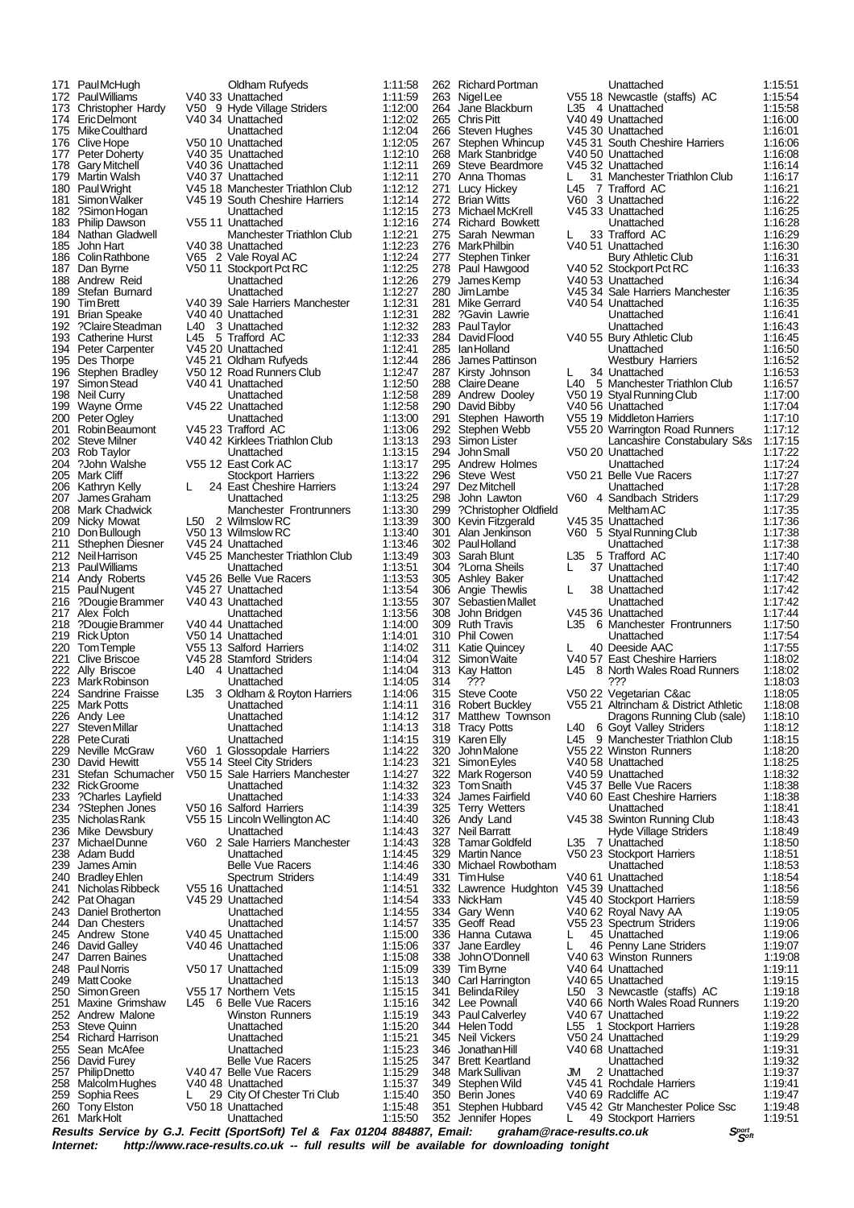Mike Coulthard 250 Simon Green V55 17 Northern Vets<br>251 Maxine Grimshaw 145: 6 Belle Vue Rac 253 Steve Quinn Unattached<br>
Richard Harrison Unattached 260 Tony Elston V50 18 Unattached 1:15:48

171 Paul McHugh **Carl Coldham Rufyeds** 1:11:58<br>172 Paul Williams V40 33 Unattached 1:11:59 172 Paul Williams V40 33 Unattached 1:11:59 173 Christopher Hardy V50 9 Hyde Village Striders 1:12:00<br>174 Eric Delmont V40 34 Unattached 1:12:02 174 Eric Delmont V40 34 Unattached 1:12:02<br>175 Mike Coulthard Unattached 1:12:04 176 Clive Hope V50 10 Unattached 1:12:05 177 Peter Doherty 1740 35 Unattached 1:12:10<br>178 Gary Mitchell 1:12:10<br>112:11 V40 36 Unattached 1:12:11 178 Gary Mitchell V40 36 Unattached 1:12:11 179 Martin Walsh V40 37 Unattached 1:12:11 180 Paul Wright V45 18 Manchester Triathlon Club 1:12:12 181 Simon Walker V45 19 South Cheshire Harriers 1:12:14 182 ?Simon Hogan 1:12:15<br>183 Philip Dawson 1755 11 Unattached 1:12:16 183 Philip Dawson V55 11 Unattached 1:12:16<br>184 Nathan Gladwell Manchester Triathlon Club 1:12:21 184 Nathan Gladwell Manchester Triathlon Club 1:12:21<br>185 John Hart V40 38 Unattached 1:12:23 185 John Hart V40 38 Unattached 1:12:23<br>186 Colin Rathbone V65 2 Vale Royal AC 1:12:24 186 Colin Rathbone V65 2 Vale Royal AC 1:12:24 187 Dan Byrne V50 11 Stockport Pct RC 1:12:25<br>188 Andrew Reid 1:12:25 Unattached 1:12:26 188 Andrew Reid Unattached 1:12:26<br>189 Stefan Burnard Unattached 1:12:26 189 Stefan Burnard Unattached 1:12:27<br>190 Tim Brett V40 39 Sale Harriers Manchester 1:12:31 190 Tim Brett V40 39 Sale Harriers Manchester 1:12:31 191 Brian Speake V40 40 Unattached 1:12:31 192 ?Claire Steadman L40 3 Unattached 1:12:32 193 Catherine Hurst L45 5 Trafford AC 1:12:33 194 Peter Carpenter V45 20 Unattached 1:12:41<br>195 Des Thorne V45 21 Oldham Rufveds 1:12:44 195 Des Thorpe V45 21 Oldham Rufyeds 1:12:44 196 Stephen Bradley V50 12 Road Runners Club 1:12:47 197 Simon Stead V40 41 Unattached 1:12:50<br>198 Neil Curry Unattached 1:12:50 198 Neil Curry **198 Unattached** 1:12:58<br>199 Wayne Orme 1:12:58 Unattached 1:12:58 199 Wayne Orme V45 22 Unattached 1:12:58 200 Peter Ogley Unattached 1:13:00 201 Robin Beaumont V45 23 Trafford AC 1:13:06 202 Steve Milner V40 42 Kirklees Triathlon Club 1:13:13 203 Rob Taylor Unattached 1:13:15<br>204 ?John Walshe V55 12 East Cork AC 1:13:17 204 ?John Walshe V55 12 East Cork AC 1:13:17<br>205 Mark Cliff Stockport Harriers 1:13:22 205 Mark Cliff Stockport Harriers 1:13:22 206 Kathryn Kelly L 24 East Cheshire Harriers 1:13:24 207 James Graham Unattached 1:13:25 208 Mark Chadwick Manchester Frontrunners 1:13:30 209 Nicky Mowat L50 2 Wilmslow RC 1:13:39 210 Norwick Connect Connect Connect Connect Connect V50 13 Wilmslow RC 1:13:40<br>211 Sthephen Diesner V45 24 Unattached 1:13:46 211 Sthephen Diesner V45 24 Unattached 1:13:46<br>212 Neil Harrison V45 25 Manchester Triathlon Club 1:13:49 212 Neil Harrison V45 25 Manchester Triathlon Club 1:13:49<br>213 Paul Williams Unattached 1:13:51 213 Paul Williams Unattached 1:13:51<br>214 Andy Roberts V45 26 Belle Vue Racers 1:13:53 214 Andy Roberts V45 26 Belle Vue Racers 1:13:53<br>215 PaulNugent V45 27 Unattached 1:13:54 214 Andy Roberts V45 26 Belle Vue Racers 1:13:53<br>215 Paul Nugent V45 27 Unattached 1:13:54<br>216 Paul Nugent V40 43 Unattached 1:13:55 216 ?Dougie Brammer V40 43 Unattached 1:13:55 217 Alex Folch Unattached 1:13:56 218 ?Dougie Brammer V40 44 Unattached 1:14:00<br>219 Rick Upton V50 14 Unattached 1:14:00 219 Rick Upton V50 14 Unattached 1:14:01<br>220 Tom Temple V55 13 Salford Harriers 1:14:02 220 Tom Temple V55 13 Salford Harriers 1:14:02<br>221 Clive Briscoe V45 28 Stamford Striders 1:14:04 221 Clive Briscoe  $\frac{114.04}{222}$  Ally Briscoe  $\frac{140.4}{4}$  Unattached  $\frac{114.04}{114.04}$ 222 Ally Briscoe Lao 4 Unattached 1:14:04<br>223 Mark Robinson Lao 1 Unattached 1:14:05 223 Mark Robinson Unattached 1:14:05 224 Sandrine Fraisse L35 3 Oldham & Royton Harriers 1:14:06<br>225 Mark Potts Linattached 1:14:11 225 Mark Potts Unattached 1:14:11<br>225 Mark Potts Unattached 1:14:11<br>226 Andy Lee Unattached 1:14:12 226 Andy Lee Unattached 1:14:12 227 Steven Millar **Democratische Unattached 1:14:13**<br>228 Pete Curati **Nattached** 1:14:15 228 Pete Curati Unattached 1:14:15 229 Neville McGraw V60 1 Glossopdale Harriers 1:14:22 230 David Hewitt V55 14 Steel City Striders 1:14:23 231 Stefan Schumacher V50 15 Sale Harriers Manchester 1:14:27 232 Rick Groome Unattached 1:14:32 233 ?Charles Layfield Unattached 1:14:33<br>234 ?Stephen Jones V50 16 Salford Harriers 1:14:39 234 ?Stephen Jones V50 16 Salford Harriers 1:14:39<br>235 Nicholas Rank V55 15 Lincoln Wellington AC 1:14:40 1:14:40 V55 15 Lincoln Wellington AC 1:14:40<br>24:14:43 Unattached 1:14:43 236 Mike Dewsbury **1:14:43**<br>237 Michael Dunne V60 2 Sale Harriers Manchester 1:14:43 237 Michael Dunne V60 2 Sale Harriers Manchester 1:14:43 238 Adam Budd Unattached 1:14:45 239 James Amin Belle Vue Racers 1:14:46 240 Bradley Ehlen Spectrum Striders 1:14:49<br>241 Nicholas Ribbeck V55 16 Unattached 1:14:51 241 Nicholas Ribbeck V55 16 Unattached 1:14:51 242 Pat Ohagan V45 29 Unattached 1:14:54 243 Daniel Brotherton Unattached 1:14:55 244 Dan Chesters Unattached 1:14:57<br>245 Andrew Stone 1:14:57 245 Andrew Stone V40 45 Unattached 1:15:00 246 David Galley  $V40\,46$  Unattached 1:15:06<br>247 Darren Baines Banker Unattached 1:15:08 247 Darren Baines Unattached 1:15:08 248 Paul Norris V50 17 Unattached 1:15:09 249 Matt Cooke Unattached 1:15:13 251 Maxine Grimshaw L45 6 Belle Vue Racers 1:15:16 252 Andrew Malone Winston Runners 1:15:19 254 Richard Harrison Unattached 1:15:21 255 Sean McAfee Unattached 1:15:23 256 David Furey Belle Vue Racers 1:15:25 257 Philip Dnetto **V40 47 Belle Vue Racers** 1:15:29<br>258 Malcolm Hughes V40 48 Unattached 1:15:37 258 Malcolm Hughes V40 48 Unattached 1:15:37<br>259 Sophia Rees L 29 City Of Chester Tri Club 1:15:40 259 Sophia Rees L 29 City Of Chester Tri Club 1:15:40<br>260 Tony Elston V50 18 Unattached 1:15:48

273 Michael McKrell V45 33 Unattached<br>274 Richard Rowkett Unattached 299 ?Christopher Oldfield<br>300 Kevin Fitzgerald 344 Helen Todd L55 1 Stockport Harriers<br>345 Neil Vickers V50 24 Unattached 347 Brett Keartland Unattached<br>348 Mark Sullivan JM 2 Unattached

262 Richard Portman Unattached 1:15:51 263 Nigel Lee Victoria V55 18 Newcastle (staffs) AC 1:15:54<br>264 Jane Blackburn L35 4 Unattached 1:15:58 264 Jane Blackburn L35 4 Unattached 1:15:58<br>265 Chris Pitt V40 49 Unattached 1:16:00 265 Chris Pitt 1:16:00<br>266 Steven Hughes 1:16:01 V45 30 Unattached 1:16:01<br>267 Stephen Whincup V45 31 South Cheshire Harriers 1:16:06 266 Steven Hughes V45 30 Unattached 1:16:01 267 Stephen Whincup V45 31 South Cheshire Harriers 1:16:06 268 Mark Stanbridge V40 50 Unattached 1:16:08<br>269 Steve Beardmore V45 32 Unattached 1:16:14 269 Steve Beardmore V45 32 Unattached 1:16:14 270 Anna Thomas L 31 Manchester Triathlon Club 1:16:17 271 Lucy Hickey 275 L45 7 Trafford AC 272 Brian Witts V60 3 Unattached 1:16:22 272 Brian Witts V60 3 Unattached 1:16:22 274 Richard Bowkett Unattached 1:16:28 275 Sarah Newman L 33 Trafford AC 1:16:29 276 Mark Philbin V40 51 Unattached 1:16:30<br>277 Stephen Tinker Bury Athletic Club 1:16:31 277 Stephen Tinker 1988 Bury Athletic Club 1:16:31<br>278 Paul Hawgood 1:16:31 V40 52 Stockport Pct RC 1:16:33 278 Paul Hawgood V40 52 Stockport Pct RC 1:16:33<br>279 James Kemp V40 53 Unattached 1:16:34 279 James Kemp V40 53 Unattached 1:16:34<br>280 Jim Lambe V45 34 Sale Harriers Manchester 1:16:35 280 Jim Lambe V45 34 Sale Harriers Manchester 1:16:35 281 Mike Gerrard V40 54 Unattached 1:16:35 282 ?Gavin Lawrie Unattached 1:16:41 283 Paul Taylor Unattached 1:16:43<br>284 David Flood V40 55 Bury Athletic Club 1:16:45 284 David Flood V40 55 Bury Athletic Club 1:16:45 285 Ian Holland Unattached 1:16:50 286 James Pattinson Westbury Harriers 1:16:52 287 Kirsty Johnson L 34 Unattached 1:16:53<br>288 Claire Deane L40 5 Manchester Triathlon Club 1:16:57 288 Claire Deane L40 5 Manchester Triathlon Club 1:16:57<br>288 Claire Deane L40 5 Manchester Triathlon Club 1:16:57 289 Andrew Dooley V50 19 Styal Running Club 1:17:00 290 David Bibby V40 56 Unattached 1:17:04 291 Stephen Haworth V55 19 Middleton Harriers 1:17:10<br>292 Stephen Webb V55 20 Warrington Road Runners 1:17:12 292 Stephen Webb V55 20 Warrington Road Runners 1:17:12<br>293 Simon Lister Lancashire Constabulary S&s 1:17:15<br>294 John Small V50 20 Unattached 1:17:22 293 Simon Lister Lancashire Constabulary S&s 1:17:15 294 John Small V50 20 Unattached 1:17:22 295 Andrew Holmes 1992 Unattached 1:17:24<br>296 Steve West 1:17:24 V50 21 Belle Vue Racers 1:17:27 296 Steve West  $\begin{array}{ccc} \hline 296 & \hline \end{array}$  V50 21 Belle Vue Racers 1:17:27<br>297 Dez Mitchell Unattached 1:17:28 297 Dez Mitchell Unattached 1:17:28 298 John Lawton V60 4 Sandbach Striders 1:17:29 300 Kevin Fitzgerald V45 35 Unattached 1:17:36 301 Alan Jenkinson V60 5 Styal Running Club 1:17:38 302 Paul Holland **Contract Contract Contract Contract Providence** 1:17:38<br>303 Sarah Blunt L35 5 Trafford AC 1:17:40 303 Sarah Blunt L35 5 Trafford AC 1:17:40 304 ?Lorna Sheils L 37 Unattached 1:17:40 305 Ashley Baker Unattached 1:17:42 306 Angie Thewlis L 38 Unattached 1:17:42 307 Sebastien Mallet Unattached 1:17:42 308 John Bridgen V45 36 Unattached 1:17:44 309 Ruth Travis **L35 6 Manchester Frontrunners** 1:17:50<br>310 Phil Cowen **L35 6 Manchester Frontrunners** 1:17:50 310 Phil Cowen 200 Unattached 1:0 1:17:54<br>311 Katie Quincey L 40 Deeside AAC 1:17:55 311 Katie Quincey L 40 Deeside AAC 1:17:55<br>312 Simon Waite V/40.57 East Cheshire Harriers 1:18:02 312 Simon Waite V40 57 East Cheshire Harriers 1:18:02 313 Kay Hatton L45 8 North Wales Road Runners 1:18:02 314 ??? ??? 1:18:03 315 Steve Coote V50 22 Vegetarian C&ac 1:18:05 316 Robert Buckley V55 21 Altrincham & District Athletic 1:18:08 317 Matthew Townson<br>
318 Tracy Potts L40 6 Goyt Valley Striders 1:18:10<br>
1:18:12 318 Tracy Potts L40 6 Goyt Valley Striders (1:18:12<br>319 Karen Elly L45 9 Manchester Triathlon Club 1:18:15 319 Karen Elly L45 9 Manchester Triathlon Club 1:18:15 320 John Malone V55 22 Winston Runners 1:18:20 321 Simon Eyles V40 58 Unattached 1:18:25<br>322 Mark Rogerson V40 59 Unattached 1:18:32 322 Mark Rogerson V40 59 Unattached 1:18:32 323 Tom Snaith V45 37 Belle Vue Racers 1:18:38 324 James Fairfield V40 60 East Cheshire Harriers 1:18:38 325 Terry Wetters Carlos Chattached Indians 1:18:41<br>326 Andy Land V45 38 Swinton Running Club 1:18:43 V45 38 Swinton Running Club 327 Neil Barratt Hyde Village Striders 1:18:49 328 Tamar Goldfeld L35 7 Unattached 1:18:50 328 Tamar Goldfeld L35 7 Unattached Control 1:18:50<br>329 Martin Nance V50 23 Stockport Harriers 1:18:51<br>330 Michael Rowbotham Unattached 1:18:53 330 Michael Rowbotham Unattached 1:18:53 331 Tim Hulse V40 61 Unattached 1:18:54 332 Lawrence Hudghton V45 39 Unattached 1:18:56 333 Nick Ham V45 40 Stockport Harriers 1:18:59 334 Gary Wenn V40 62 Royal Navy AA 1:19:05 335 Geoff Read V55 23 Spectrum Striders 1:19:06 336 Hanna Cutawa L 45 Unattached 1:19:06<br>337 Jane Eardley L 46 Penny Lane Striders 1:19:07 337 Jane Eardley L 46 Penny Lane Striders 1:19:07 338 John O'Donnell V40 63 Winston Runners 1:19:08 339 Tim Byrne V40 64 Unattached 1:19:11 340 Carl Harrington V40 65 Unattached 1:19:15 341 Belinda Riley **L50** 3 Newcastle (staffs) AC 1:19:18<br>342 Lee Pownall V40 66 North Wales Road Runners 1:19:20 342 Lee Pownall 2003 V40 66 North Wales Road Runners 1:19:20<br>343 Paul Calverley 2006 V6th Wales Road Runners 1:19:20 343 Paul Calverley V40 67 Unattached 1:19:22<br>344 Helen Todd 1:19:22<br>344 Helen Todd 1:55 1 Stockport Harriers 1:19:28 345 Neil Vickers V50 24 Unattached 1:19:29 346 Jonathan Hill V40 68 Unattached 1:19:31 348 Mark Sullivan JM 2 Unattached 1:19:37 349 Stephen Wild V45 41 Rochdale Harriers 1:19:41<br>350 Berin Jones V40 69 Radcliffe AC 1:19:47 350 Berin Jones V40 69 Radcliffe AC 1:19:47 351 Stephen Hubbard V45 42 Gtr Manchester Police Ssc 1:19:48 49 Stockport Harriers

**Results Service by G.J. Fecitt (SportSoft) Tel & Fax 01204 884887, Email: graham@race-results.co.uk** *S***<sup>cont</sup><br>Internet: http://www.race-results.co.uk -- full results will be available for downloading topight Internet: http://www.race-results.co.uk -- full results will be available for downloading tonight**

Unattached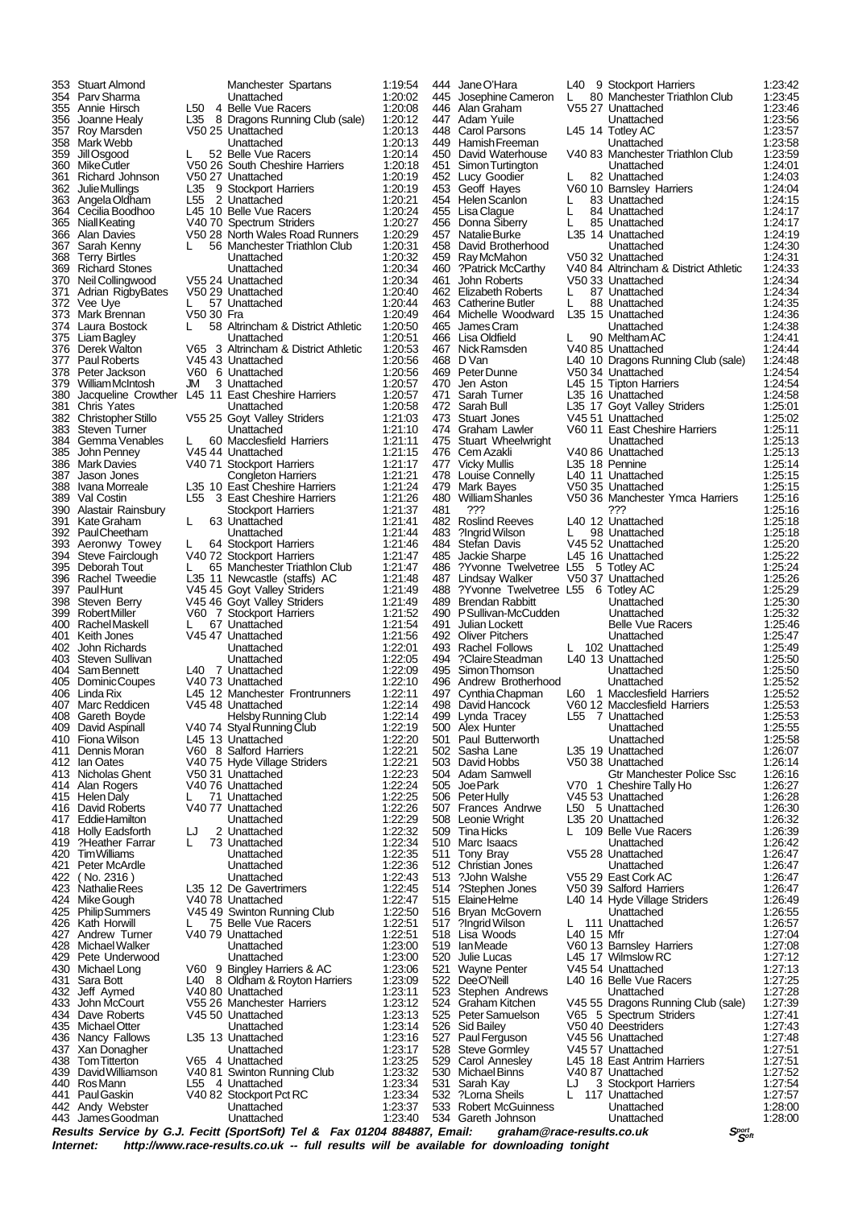442 Andy Webster Unattached 1:23:37 James Goodman

353 Stuart Almond Manchester Spartans 1:19:54 354 Parv Sharma Unattached 1:20:02 355 Annie Hirsch L50 4 Belle Vue Racers 1:20:08 356 Joanne Healy L35 8 Dragons Running Club (sale) 1:20:12 357 Roy Marsden V50 25 Unattached 1:20:13 358 Mark Webb Unattached 1:20:13 359 Jill Osgood L 52 Belle Vue Racers 1:20:14<br>360 Mike Cutler V50 26 South Cheshire Harriers 1:20:18 360 Mike Cutler V50 26 South Cheshire Harriers 1:20:18 361 Richard Johnson v 50 27 Unattached 1:20:19<br>362 Julie Mullings L35 9 Stockport Harriers 1:20:19 362 Julie Mullings L35 9 Stockport Harriers 1:20:19 363 Angela Oldham L55 2 Unattached 1:20:21 364 Cecilia Boodhoo L45 10 Belle Vue Racers 1:20:24<br>365 Niall Keating V40 70 Spectrum Striders 1:20:27 365 Niall Keating V40 70 Spectrum Striders 1:20:27 366 Alan Davies V50 28 North Wales Road Runners 1:20:29 367 Sarah Kenny L 56 Manchester Triathlon Club 1:20:31 368 Terry Birtles 2008 Unattached 1:20:32<br>369 Richard Stones Unattached 1:20:32<br>369 Richard Stones Unattached 1:20:34 369 Richard Stones Unattached 1:20:34 370 Neil Collingwood V55 24 Unattached 1:20:34<br>371 Adrian RigbyBates V50 29 Unattached 1:20:40 371 Adrian RigbyBates V50 29 Unattached 1:20:40 372 Vee Uye L L 57 Unattached 1:20:44 373 Mark Brennan V50 30 Fra 1:20:49 374 Laura Bostock L 58 Altrincham & District Athletic 1:20:50<br>375 Liam Bagley Bostock Dinattached 1:20:51 375 Liam Bagley Unattached 1:20:51 376 Derek Walton V65 3 Altrincham & District Athletic 1:20:53 377 Paul Roberts V45 43 Unattached 1:20:56 378 Peter Jackson V60 6 Unattached 1:20:56 379 William McIntosh JM 3 Unattached 1:20:57 380 Jacqueline Crowther L45 11 East Cheshire Harriers 1:20:57<br>381 Chris Yates Mattached 1:20:58 381 Chris Yates Unattached 1:20:58 382 Christopher Stillo V55 25 Goyt Valley Striders 1:21:03 383 Steven Turner Unattached 1:21:10 384 Gemma Venables L 60 Macclesfield Harriers 1:21:11 385 John Penney 745 44 Unattached 1:21:15<br>386 Mark Davies 740 71 Stockport Harriers 1:21:17 386 Mark Davies **V40 71 Stockport Harriers** 1:21:17<br>387 Jason Jones **V40 71 Stockport Harriers** 1:21:21 387 Jason Jones Congleton Harriers 1:21:21<br>388 Ivana Morreale L35 10 East Cheshire Harriers 1:21:24 388 Ivana Morreale L35 10 East Cheshire Harriers 1:21:24 389 Val Costin L55 3 East Cheshire Harriers 1:21:26 390 Alastair Rainsbury Stockport Harriers 1:21:37 391 Kate Graham L 63 Unattached 1:21:41 392 Paul Cheetham **Cheetham** Unattached 1:21:44<br>393 Aeronwy Towey L 64 Stockport Harriers 1:21:46 393 Aeronwy Towey L 64 Stockport Harriers 1:21:46 394 Steve Fairclough V40 72 Stockport Harriers 1:21:47<br>395 Deborah Tout L 65 Manchester Triathlon Club 1:21:47 395 Deborah Tout L 65 Manchester Triathlon Club 1:21:47 396 Rachel Tweedie L35 11 Newcastle (staffs) AC 1:21:48 397 Paul Hunt V45 45 Goyt Valley Striders 1:21:49 398 Steven Berry V45 46 Goyt Valley Striders 1:21:49 399 Robert Miller V60 7 Stockport Harriers 1:21:52 400 Rachel Maskell L 67 Unattached 1:21:54 401 Keith Jones V45 47 Unattached 1:21:56<br>402 John Richards Unattached 1:22:01 402 John Richards Unattached 1:22:01 403 Steven Sullivan Unattached 1:22:05<br>404 Sam Bennett 140 7 Unattached 1:22:09 404 Sam Bennett L40 7 Unattached 1:22:09 405 Dominic Coupes V40 73 Unattached 1:22:10<br>406 Linda Rix L45 12 Manchester Frontrunners 1:22:11 406 Linda Rix L45 12 Manchester Frontrunners 1:22:11<br>407 Marc Reddicen V45 48 Unattached 1:22:14 407 Marc Reddicen V45 48 Unattached 1:22:14<br>408 Gareth Boyde Helsby Running Club 1:22:14 408 Gareth Boyde Helsby Running Club 1:22:14 409 David Aspinall V40 74 Styal Running Club 1:22:19 409 David Aspinall V40 74 Styal Running Club 1:22:19<br>410 Fiona Wilson L45 13 Unattached 1:22:20<br>411 Dennis Moran V60 8 Salford Harriers 1:22:21<br>412 Ian Oates V40 75 Hyde Village Striders 1:22:21 411 Dennis Moran V60 8 Salford Harriers 1:22:21 412 Ian Oates V40 75 Hyde Village Striders 1:22:21 413 Nicholas Ghent V50 31 Unattached 1:22:23 414 Alan Rogers V40 76 Unattached 1:22:24 415 Helen Daly Latter Latter Hotel and the Higgs 1:22:25<br>416 David Roberts V40 77 Unattached 1:22:26 416 David Roberts  $\overline{V}40.77$  Unattached 1:22:26<br>417 Eddie Hamilton Unattached 1:22:29 417 Eddie Hamilton Unattached 1:22:29 418 Holly Eadsforth LJ 2 Unattached 1:22:32 419 ?Heather Farrar L 73 Unattached 1:22:34<br>420 Tim Williams Unattached 1:22:35 420 Tim Williams **Unattached 1:22:35**<br>421 Peter McArdle **Unattached** 1:22:36 421 Peter McArdle Unattached 1:22:36 422 ( No. 2316 ) Unattached 1:22:43 423 Nathalie Rees L35 12 De Gavertrimers 1:22:45<br>424 Mike Gough V40 78 Unattached 1:22:47<br>425 Philip Summers V45 49 Swinton Running Club 1:22:50 424 Mike Gough V40 78 Unattached 1:22:47 425 Philip Summers V45 49 Swinton Running Club 1:22:50 426 Kath Horwill L 75 Belle Vue Racers<br>427 Andrew Turner V40 79 Unattached 1:22:51 427 Andrew Turner  $\overline{V}40\overline{79}$  Unattached 1:22:51<br>428 Michael Walker Unattached 1:23:00 428 Michael Walker **Constructed Entitled Mattached** 1:23:00<br>429 Pete Underwood Unattached 1:23:00 429 Pete Underwood Unattached 1:23:00<br>430 Michael Long V60 9 Bingley Harriers & AC 1:23:06 430 Michael Long V60 9 Bingley Harriers & AC 1:23:06 431 Sara Bott L40 8 Oldham & Royton Harriers 1:23:09 432 Jeff Aymed V40 80 Unattached 1:23:11<br>433 John McCourt V55 26 Manchester Harriers 1:23:11 433 John McCourt V55 26 Manchester Harriers 1:23:12 434 Dave Roberts (145 50 Unattached 1:23:13<br>435 Michael Otter (145 50 Unattached 1:23:13<br>435 Michael Otter (159 Unattached 1:23:14 Michael Otter Unattached 1:23:14<br>
Nancy Fallows L35 13 Unattached 1:23:16 436 Nancy Fallows L35 13 Unattached 1:23:16<br>437 Xan Donagher 1.23:16 Libertached 1:23:17 436 Nancy Fallows L35 13 Unattached 1:23:16<br>437 Xan Donagher Unattached 1:23:17<br>438 Tom Titterton V65 4 Unattached 1:23:25 1:23:25<br>
David Williamson V40 81 Swinton Running Club 1:23:32<br>
1:23:32 439 David Williamson V40 81 Swinton Running Club 1:23:32<br>440 Ros Mann L55 4 Unattached 1:23:34 440 Ros Mann L55 4 Unattached 1:23:34<br>441 Paul Gaskin 1:23:34<br>441 Paul Gaskin 1:240 82 Stockport Pct RC 1:23:34 441 Paul Gaskin  $\overline{V40}$  82 Stockport Pct RC 1:23:34<br>442 Andy Webster Unattached 1:23:37

534 Gareth Johnson

444 Jane O'Hara L40 9 Stockport Harriers 1:23:42<br>445 Josephine Cameron L 80 Manchester Triathlon Club 1:23:45 445 Josephine Cameron L 80 Manchester Triathlon Club 1:23:45<br>446 Alan Graham V55 27 Unattached 1:23:46 446 Alan Graham V55 27 Unattached 1:23:46 447 Adam Yuile Unattached 1:23:56 448 Carol Parsons L45 14 Totley AC 1:23:57 449 Hamish Freeman Unattached 1:23:58 450 David Waterhouse V40 83 Manchester Triathlon Club 1:23:59<br>451 Simon Turtington Unattached 1:24:01 451 Simon Turtington Unattached 1:24:01<br>452 Lucy Goodier L 82 Unattached 1:24:03 452 Lucy Goodier 1: 82 Unattached 1:24:03<br>453 Geoff Hayes 1:260 10 Barnsley Harriers 1:24:04 453 Geoff Hayes V60 10 Barnsley Harriers 1:24:04<br>454 Helen Scanlon L 83 Unattached 1:24:15 454 Helen Scanlon L 83 Unattached 1:24:15 455 Lisa Clague L 84 Unattached 1:24:17 456 Donna Siberry L 85 Unattached 1:24:17 457 Natalie Burke L35 14 Unattached 1:24:19<br>458 David Brotherhood Unattached 1:24:30 458 David Brotherhood COV Unattached 1:24:30<br>459 Ray McMahon V50 32 Unattached 1:24:30 459 Ray McMahon V50 32 Unattached 1:24:31<br>460 Patrick McCarthy V40 84 Altrincham & District Athletic 1:24:33 460 ?Patrick McCarthy V40 84 Altrincham & District Athletic 1:24:33 461 John Roberts V50 33 Unattached 1:24:34 462 Elizabeth Roberts L 87 Unattached 1:24:34<br>463 Catherine Butler L 88 Unattached 1:24:35 463 Catherine Butler L 88 Unattached 1:24:35<br>464 Michelle Woodward L35 15 Unattached 1:24:36 464 Michelle Woodward L35 15 Unattached 1:24:36 465 James Cram Contract Contract Unattached 1:24:38<br>466 Lisa Oldfield L. 90 Meltham AC 1:24:41 466 Lisa Oldfield L 90 Meltham AC 1:24:41 467 Nick Ramsden V40 85 Unattached 1:24:44<br>468 D. Van J. 40 10 Dragons Running Club (sale) 1:24:48 468 D Van L40 10 Dragons Running Club (sale) 1:24:48 469 Peter Dunne V50 34 Unattached 1:24:54 470 Jen Aston L45 15 Tipton Harriers 1:24:54 471 Sarah Turner L35 16 Unattached 1:24:58<br>472 Sarah Bull L35 17 Goyt Valley Striders 1:24:58 472 Sarah Bull L35 17 Goyt Valley Striders 1:25:01<br>473 Stuart Jones V45 51 Unattached 1:25:02 473 Stuart Jones V45 51 Unattached 1:25:02<br>474 Graham Lawler V60 11 East Cheshire Harriers 1:25:11 474 Graham Lawler V60 11 East Cheshire Harriers 1:25:11<br>475 Stuart Wheelwright Unattached 1:25:13 475 Stuart Wheelwright **Unattached** 1:25:13 476 Cem Azakli V40 86 Unattached 1:25:13 477 Vicky Mullis **11.25 18 Pennine 11.25:14**<br>477 Vicky Mullis **1.35 18 Pennine 1:25:14**<br>478 Louise Connelly 1.40 11 Unattached 1:25:15 478 Louise Connelly 1.40 11 Unattached 11:25:15<br>479 Mark Bayes 1.25:15 V50 35 Unattached 1:25:15 479 Mark Bayes  $\frac{125.15}{125.15}$  V50 35 Unattached 1:25:15 480 William Shanles V50 36 Manchester Ymca Harriers 1:25:16 481 ??? ??? 1:25:16 482 Roslind Reeves L40 12 Unattached 1:25:18<br>483 ?Ingrid Wilson L 98 Unattached 1:25:18 483 ?Ingrid Wilson L 98 Unattached 1:25:18 484 Stefan Davis V45 52 Unattached 1:25:20 485 Jackie Sharpe L45 16 Unattached 1:25:22<br>486 ?Yvonne Twelvetree L55 5 Totley AC 1:25:24 486 ?Yvonne Twelvetree L55 5 Totley AC 1:25:24<br>487 Lindsay Walker 1:25:26 Unattached 1:25:26 487 Lindsay Walker V50 37 Unattached 1:25:26 488 ?Yvonne Twelvetree L55 6 Totley AC 1:25:29<br>488 ?Kyonne Twelvetree L55 6 Totley AC 1:25:29<br>489 Brendan Rabbitt 489 Brendan Rabbitt Unattached 1:25:30 490 P Sullivan-McCudden Unattached 1:25:32<br>491 Julian Lockett Belle Vue Racers 1:25:46 491 Julian Lockett Belle Vue Racers 1:25:46<br>492 Oliver Pitchers Belle Vue Racers 1:25:46 492 Oliver Pitchers **Installer Unattached 1:25:47**<br>493 Rachel Follows L 102 Unattached 1:25:49 493 Rachel Follows L 102 Unattached 1:25:49<br>494 2Claire Steadman L40 13 Unattached 1:25:50 494 ?Claire Steadman L40 13 Unattached 1:25:50<br>495 Simon Thomson Unattached 1:25:50 495 Simon Thomson Unattached 1:25:50 496 Andrew Brotherhood Unattached 1:25:52 497 Cynthia Chapman L60 1 Macclesfield Harriers 1:25:52 498 David Hancock V60 12 Macclesfield Harriers 1:25:53<br>499 Lynda Tracey L55 7 Unattached 1:25:53 499 Lynda Tracey L55 7 Unattached 1:25:53<br>500 Alex Hunter Libraria Libraria (1:25:53 500 Alex Hunter **Construction Construction Construction** 1:25:55<br>501 Paul Butterworth **Construction Unattached** 1:25:58 501 Paul Butterworth Unattached 1:25:58 502 Sasha Lane L35 19 Unattached 1:26:07 503 David Hobbs V50 38 Unattached 1:26:14 504 Adam Samwell **Gtr Manchester Police Ssc 1:26:16**<br>505 Joe Park **Consult Consult V70 1** Cheshire Tally Ho 1:26:27 505 Joe Park V70 1 Cheshire Tally Ho 1:26:27 506 Peter Hully V45 53 Unattached 1:26:28<br>507 Frances Andrwe L50 5 Unattached 1:26:30 507 Frances Andrwe L50 5 Unattached 1:26:30<br>508 Leonie Wright L35 20 Unattached 1:26:32 L35 20 Unattached 509 Tina Hicks L 109 Belle Vue Racers 1:26:39 510 Marc Isaacs Unattached 1:26:42 511 Tony Bray V55 28 Unattached 1:26:47 512 Christian Jones Communication Communication (1:26:47<br>513 Publin Walshe V55 29 East Cork AC 1:26:47 513 ?John Walshe V55 29 East Cork AC 1:26:47<br>514 ?Stephen Jones V50 39 Salford Harriers 1:26:47 514 ?Stephen Jones V50 39 Salford Harriers 1:26:47<br>515 Elaine Helme L40 14 Hyde Village Striders 1:26:49 515 Elaine Helme L40 14 Hyde Village Striders<br>516 Brvan McGovern L40 14 Unattached 516 Bryan McGovern Press, Unattached 1:26:55<br>517 ?Ingrid Wilson L. 111 Unattached 1:26:55 517 ?Ingrid Wilson L 111 Unattached 1:26:57<br>518 Lisa Woods L40 15 Mfr 518 Lisa Woods **L40 15 Mfr** 1:27:04<br>519 Ian Meade V60 13 Barnsley Harriers 1:27:08 519 Ian Meade V60 13 Barnsley Harriers 1:27:08 520 Julie Lucas L45 17 Wilmslow RC 1:27:12 521 Wayne Penter V45 54 Unattached 1:27:13 522 Dee O'Neill L40 16 Belle Vue Racers 1:27:25 523 Stephen Andrews Unattached 1:27:28<br>524 Graham Kitchen V45 55 Dragons Running Club (sale) 1:27:39 524 Graham Kitchen V45 55 Dragons Running Club (sale) 1:27:39 525 Peter Samuelson V65 5 Spectrum Striders 1:27:41<br>526 Sid Bailey V50 40 Deestriders 1:27:43 526 Sid Bailey V50 40 Deestriders 1:27:43 527 Paul Ferguson V45 56 Unattached 1:27:48<br>528 Steve Gormley V45 57 Unattached 1:27:51 528 Steve Gormley 11:27:51<br>529 Carol Anneslev 1.45 18 East Antrim Harriers 11:27:51 529 Carol Annesley Lub Lub East Antrim Harriers 1:27:51<br>530 Michael Binns V40 87 Unattached 1:27:52 530 Michael Binns V40 87 Unattached 1:27:52 531 Sarah Kay LJ 3 Stockport Harriers 1:27:54 532 ?Lorna Sheils L 117 Unattached 1:27:57<br>533 Robert McGuinness Unattached 1:28:00 533 Robert McGuinness Unattached 1:28:00

**Results Service by G.J. Fecitt (SportSoft) Tel & Fax 01204 884887, Email: graham@race-results.co.uk** *S***<sup>port</sup><br>Internet: http://www.race-results.co.uk -- full results will be available for downloading topight** http://www.race-results.co.uk -- full results will be available for downloading tonight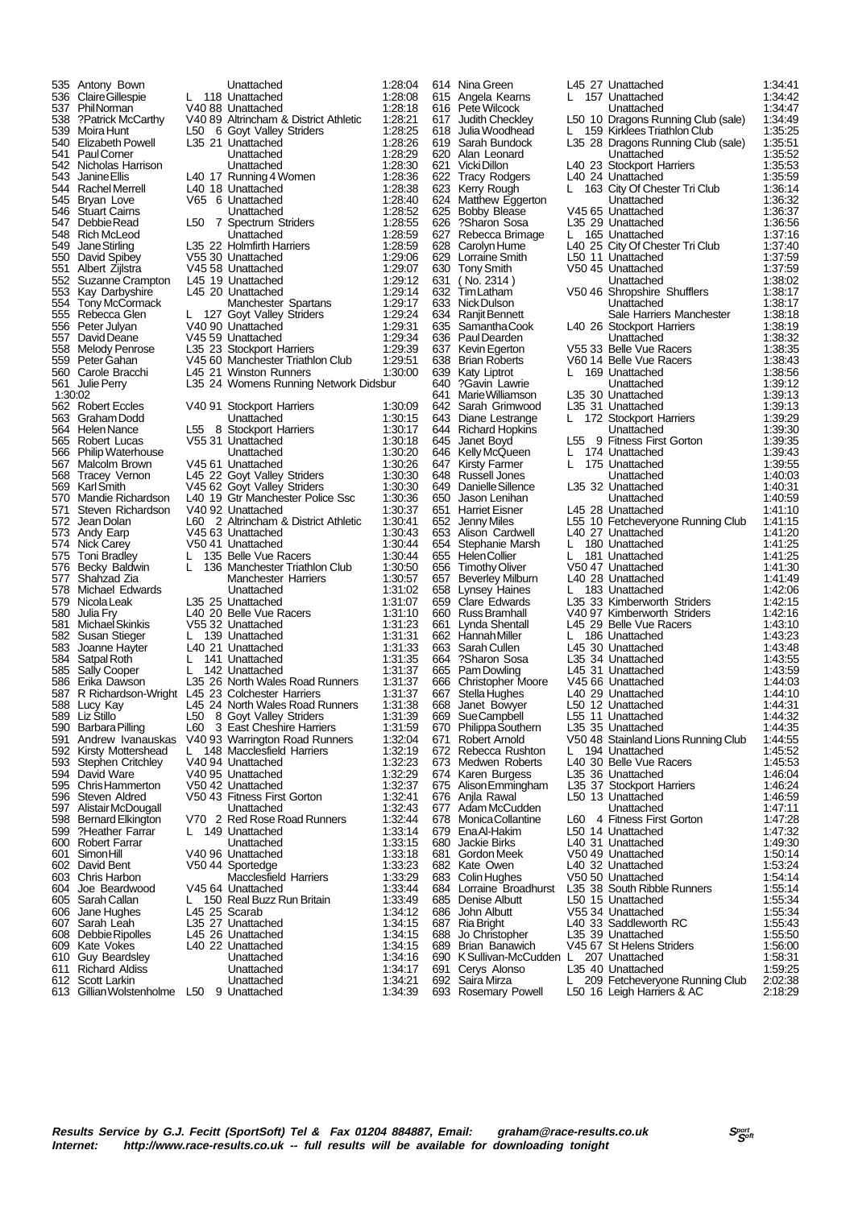| 535     | Antony Bown                                                   |               | Unattached                            | 1:28:04            |      | 614 Nina Green                           |     | L45 27 Unattached                                            | 1:34:41            |
|---------|---------------------------------------------------------------|---------------|---------------------------------------|--------------------|------|------------------------------------------|-----|--------------------------------------------------------------|--------------------|
|         | 536 Claire Gillespie                                          | L             | 118 Unattached                        | 1:28:08            |      | 615 Angela Kearns                        |     | 157 Unattached                                               | 1:34:42            |
|         | 537 PhilNorman                                                |               | V4088 Unattached                      | 1:28:18            |      | 616 Pete Wilcock                         |     | Unattached                                                   | 1:34:47            |
|         | 538 ?Patrick McCarthy                                         |               | V40 89 Altrincham & District Athletic | 1.28.21            | 617  | Judith Checkley                          |     | L50 10 Dragons Running Club (sale)                           | 1:34:49            |
|         | 539 Moira Hunt                                                |               | L50 6 Goyt Valley Striders            | 1:28:25            |      | 618 Julia Woodhead                       |     | L 159 Kirklees Triathlon Club                                | 1:35:25            |
|         | 540 Elizabeth Powell                                          |               | L35 21 Unattached                     | 1:28:26            |      | 619 Sarah Bundock                        |     | L35 28 Dragons Running Club (sale)                           | 1:35:51            |
|         | 541 Paul Corner                                               |               | Unattached                            | 1:28:29            |      | 620 Alan Leonard                         |     |                                                              | 1:35:52            |
|         |                                                               |               |                                       |                    |      |                                          |     | Unattached                                                   |                    |
|         | 542 Nicholas Harrison                                         |               | Unattached                            | 1:28:30            |      | 621 Vicki Dillon                         |     | L40 23 Stockport Harriers                                    | 1:35:53            |
| 543     | Janine Ellis                                                  |               | L40 17 Running 4 Women                | 1:28:36            |      | 622 Tracy Rodgers                        |     | L40 24 Unattached                                            | 1:35:59            |
|         | 544 Rachel Merrell                                            |               | L40 18 Unattached                     | 1:28:38            |      | 623 Kerry Rough                          | L.  | 163 City Of Chester Tri Club                                 | 1:36:14            |
|         | 545 Bryan Love                                                |               | V65 6 Unattached                      | 1:28:40            |      | 624 Matthew Eggerton                     |     | Unattached                                                   | 1:36:32            |
|         | 546 Stuart Cairns                                             |               | Unattached                            | 1:28:52            |      | 625 Bobby Blease                         |     | V45 65 Unattached                                            | 1:36:37            |
|         | 547 Debbie Read                                               |               | L50 7 Spectrum Striders               | 1:28:55            |      | 626 ?Sharon Sosa                         |     | L35 29 Unattached                                            | 1:36:56            |
|         | 548 Rich McLeod                                               |               | Unattached                            | 1:28:59            |      | 627 Rebecca Brimage                      |     | L 165 Unattached                                             | 1:37:16            |
| 549     | Jane Stirling                                                 |               | L35 22 Holmfirth Harriers             | 1:28:59            |      | 628 Carolyn Hume                         |     | L40 25 City Of Chester Tri Club                              | 1:37:40            |
|         | 550 David Spibey                                              |               | V55 30 Unattached                     | 1:29:06            |      | 629 Lorraine Smith                       |     | L50 11 Unattached                                            | 1:37:59            |
|         |                                                               |               |                                       | 1:29:07            |      |                                          |     |                                                              |                    |
|         | 551 Albert Zijlstra                                           |               | V45 58 Unattached                     |                    |      | 630 Tony Smith                           |     | V50 45 Unattached                                            | 1:37:59            |
| 552     | Suzanne Crampton                                              |               | L45 19 Unattached                     | 1:29:12            | 631  | $($ No. 2314)                            |     | Unattached                                                   | 1:38:02            |
| 553     | Kay Darbyshire                                                |               | L45 20 Unattached                     | 1:29:14            | 632  | TimLatham                                |     | V50 46 Shropshire Shufflers                                  | 1:38:17            |
|         | 554 Tony McCormack                                            |               | Manchester Spartans                   | 1:29:17            |      | 633 Nick Dulson                          |     | Unattached                                                   | 1:38:17            |
|         | 555 Rebecca Glen                                              |               | L 127 Goyt Valley Striders            | 1:29:24            |      | 634 Ranjit Bennett                       |     | Sale Harriers Manchester                                     | 1:38:18            |
|         | 556 Peter Julyan                                              |               | V40 90 Unattached                     | 1:29:31            |      | 635 Samantha Cook                        |     | L40 26 Stockport Harriers                                    | 1:38:19            |
|         | 557 David Deane                                               |               | V45 59 Unattached                     | 1:29:34            |      | 636 Paul Dearden                         |     | Unattached                                                   | 1:38:32            |
|         | 558 Melody Penrose                                            |               | L35 23 Stockport Harriers             | 1:29:39            |      | 637 Kevin Egerton                        |     | V55 33 Belle Vue Racers                                      | 1:38:35            |
|         | 559 Peter Gahan                                               |               | V45 60 Manchester Triathlon Club      | 1:29:51            |      | 638 Brian Roberts                        |     | V60 14 Belle Vue Racers                                      | 1:38:43            |
|         | 560 Carole Bracchi                                            |               | L45 21 Winston Runners                | 1:30:00            |      | 639 Katy Liptrot                         |     | 169 Unattached                                               | 1:38:56            |
|         |                                                               |               |                                       |                    |      |                                          |     |                                                              |                    |
|         | 561 Julie Perry                                               |               | L35 24 Womens Running Network Didsbur |                    |      | 640 ?Gavin Lawrie                        |     | Unattached                                                   | 1:39:12            |
| 1:30:02 |                                                               |               |                                       |                    | 641. | Marie Williamson                         |     | L35 30 Unattached                                            | 1:39:13            |
|         | 562 Robert Eccles                                             |               | V40 91 Stockport Harriers             | 1:30:09            |      | 642 Sarah Grimwood                       |     | L35 31 Unattached                                            | 1:39.13            |
|         | 563 Graham Dodd                                               |               | Unattached                            | 1:30:15            |      | 643 Diane Lestrange                      |     | L 172 Stockport Harriers                                     | 1:39:29            |
|         | 564 Helen Nance                                               |               | L55 8 Stockport Harriers              | 1:30:17            |      | 644 Richard Hopkins                      |     | Unattached                                                   | 1:39:30            |
|         | 565 Robert Lucas                                              |               | V55 31 Unattached                     | 1:30:18            |      | 645 Janet Boyd                           |     | L55 9 Fitness First Gorton                                   | 1:39:35            |
|         | 566 Philip Waterhouse                                         |               | Unattached                            | 1:30:20            |      | 646 Kelly McQueen                        | L   | 174 Unattached                                               | 1:39:43            |
|         | 567 Malcolm Brown                                             |               | V45 61 Unattached                     | 1:30:26            |      | 647 Kirsty Farmer                        | L   | 175 Unattached                                               | 1:39:55            |
|         | 568 Tracey Vernon                                             |               | L45 22 Goyt Valley Striders           | 1:30:30            |      | 648 Russell Jones                        |     | Unattached                                                   | 1:40:03            |
| 569     | Karl Smith                                                    |               | V45 62 Goyt Valley Striders           | 1:30:30            |      | 649 Danielle Sillence                    |     | L35 32 Unattached                                            | 1:40.31            |
|         |                                                               |               |                                       |                    |      |                                          |     |                                                              |                    |
|         | 570 Mandie Richardson                                         |               | L40 19 Gtr Manchester Police Ssc      | 1:30:36            |      | 650 Jason Lenihan                        |     | Unattached                                                   | 1:40:59            |
| 571     | Steven Richardson                                             |               | V40 92 Unattached                     | 1:30:37            |      | 651 Harriet Eisner                       |     | L45 28 Unattached                                            | 1:41:10            |
|         | 572 Jean Dolan                                                |               | L60 2 Altrincham & District Athletic  | 1:30:41            |      | 652 Jenny Miles                          |     | L55 10 Fetcheveryone Running Club                            | 1:41:15            |
| 573.    | Andy Earp                                                     |               | V45 63 Unattached                     | 1:30:43            |      | 653 Alison Cardwell                      |     | L40 27 Unattached                                            | 1:41:20            |
|         | 574 Nick Carey                                                |               | V50 41 Unattached                     | 1:30:44            |      | 654 Stephanie Marsh                      | L.  | 180 Unattached                                               | 1:41:25            |
|         | 575 Toni Bradley                                              | L.            | 135 Belle Vue Racers                  | 1:30:44            |      | 655 Helen Collier                        | L.  | 181 Unattached                                               | 1:41:25            |
|         | 576 Becky Baldwin                                             | L.            | 136 Manchester Triathlon Club         | 1:30:50            |      | 656 Timothy Oliver                       |     | V50 47 Unattached                                            | 1:41:30            |
| 577     | Shahzad Zia                                                   |               | <b>Manchester Harriers</b>            | 1:30:57            | 657  | Beverley Milburn                         |     | L40 28 Unattached                                            | 1:41:49            |
| 578     | Michael Edwards                                               |               | Unattached                            | 1:31:02            |      | 658 Lynsey Haines                        |     | L 183 Unattached                                             | 1:42:06            |
|         | 579 Nicola Leak                                               |               | L35 25 Unattached                     | 1:31:07            |      | 659 Clare Edwards                        |     | L35 33 Kimberworth Striders                                  | 1:42:15            |
|         |                                                               |               |                                       |                    |      |                                          |     |                                                              |                    |
| 580     | Julia Fry                                                     |               | L40 20 Belle Vue Racers               | 1:31:10            |      | 660 Russ Bramhall                        |     | V40 97 Kimberworth Striders                                  | 1:42:16            |
| 581     | Michael Skinkis                                               |               | V55 32 Unattached                     | 1:31:23            | 661  | Lynda Shentall                           |     | L45 29 Belle Vue Racers                                      | 1:43:10            |
|         | 582 Susan Stieger                                             |               | L 139 Unattached                      | 1:31:31            |      | 662 Hannah Miller                        |     | L 186 Unattached                                             | 1:43:23            |
|         | 583 Joanne Hayter                                             |               | L40 21 Unattached                     | 1:31:33            |      | 663 Sarah Cullen                         |     | L45 30 Unattached                                            | 1:43:48            |
| 584     | Satpal Roth                                                   | L             | 141 Unattached                        | 1:31:35            |      | 664 ?Sharon Sosa                         |     | L35 34 Unattached                                            | 1:43:55            |
|         | 585 Sally Cooper                                              | L.            | 142 Unattached                        | 1:31:37            |      | 665 Pam Dowling                          |     | L45 31 Unattached                                            | 1:43:59            |
|         | 586 Erika Dawson                                              |               | L35 26 North Wales Road Runners       | 1:31:37            |      | 666 Christopher Moore                    |     | V45 66 Unattached                                            | 1:44:03            |
|         | 587 R Richardson-Wright L45 23 Colchester Harriers            |               |                                       | 1:31:37            | 667  | Stella Hughes                            |     | L40 29 Unattached                                            | 1:44:10            |
|         | 588 Lucy Kay                                                  |               | L45 24 North Wales Road Runners       | 1:31:38            | 668  | Janet Bowyer                             |     | L50 12 Unattached                                            | 1:44:31            |
|         | 589 Liz Stillo                                                |               | L50 8 Goyt Valley Striders            | 1:31:39            |      | 669 Sue Campbell                         |     | L55 11 Unattached                                            | 1:44:32            |
|         |                                                               |               |                                       |                    |      |                                          |     |                                                              |                    |
|         | 590 Barbara Pilling                                           | L60           | 3 East Cheshire Harriers              | 1:31:59            |      | 670 Philippa Southern                    |     | L35 35 Unattached                                            | 1:44.35            |
|         | 591 Andrew Ivanauskas                                         |               | V40 93 Warrington Road Runners        | 1:32:04            |      | 671 Robert Arnold                        |     | V50 48 Stainland Lions Running Club                          | 1:44:55            |
|         | 592 Kirsty Mottershead                                        |               | 148 Macclesfield Harriers             | 1:32:19            |      | 672 Rebecca Rushton                      |     | 194 Unattached                                               | 1:45:52            |
| 593     | Stephen Critchley                                             |               | V40 94 Unattached                     | 1:32:23            |      | 673 Medwen Roberts                       |     | L40 30 Belle Vue Racers                                      | 1.45.53            |
|         | 594 David Ware                                                |               | V40 95 Unattached                     | 1:32:29            |      | 674 Karen Burgess                        |     | L35 36 Unattached                                            | 1:46:04            |
|         | 595 Chris Hammerton                                           |               | V50 42 Unattached                     | 1:32:37            |      | 675 Alison Emmingham                     |     | L35 37 Stockport Harriers                                    | 1:46:24            |
|         | 596 Steven Aldred                                             |               | V50 43 Fitness First Gorton           | 1:32:41            |      | 676 Anila Rawal                          |     | L50 13 Unattached                                            | 1:46:59            |
|         | 597 Alistair McDougall                                        |               | Unattached                            | 1:32:43            |      | 677 Adam McCudden                        |     | Unattached                                                   | 1:47:11            |
|         | 598 Bernard Elkington                                         |               | V70 2 Red Rose Road Runners           | 1:32:44            |      | 678 Monica Collantine                    | L60 | 4 Fitness First Gorton                                       | 1:47:28            |
|         | 599 ?Heather Farrar                                           |               | 149 Unattached                        | 1:33:14            |      | 679 Ena Al-Hakim                         |     | L50 14 Unattached                                            | 1:47:32            |
|         | 600 Robert Farrar                                             |               | Unattached                            | 1:33:15            |      | 680 Jackie Birks                         |     | L40 31 Unattached                                            | 1:49:30            |
|         |                                                               |               |                                       | 1:33:18            |      | 681 Gordon Meek                          |     | V50 49 Unattached                                            |                    |
|         | 601 SimonHill                                                 |               | V40 96 Unattached                     |                    |      |                                          |     |                                                              | 1:50:14            |
|         | 602 David Bent                                                |               | V50 44 Sportedge                      | 1:33:23            |      | 682 Kate Owen                            |     | L40 32 Unattached                                            | 1:53:24            |
|         | 603 Chris Harbon                                              |               | <b>Macclesfield Harriers</b>          | 1:33:29            |      | 683 Colin Hughes                         |     | V50 50 Unattached                                            | 1:54:14            |
| 604     | Joe Beardwood                                                 |               | V45 64 Unattached                     | 1:33:44            |      | 684 Lorraine Broadhurst                  |     | L35 38 South Ribble Runners                                  | 1:55:14            |
|         | 605 Sarah Callan                                              |               | 150 Real Buzz Run Britain             | 1:33:49            |      | 685 Denise Albutt                        |     | L50 15 Unattached                                            | 1:55:34            |
|         | 606 Jane Hughes                                               | L45 25 Scarab |                                       | 1:34:12            |      | 686 John Albutt                          |     | V55 34 Unattached                                            | 1:55:34            |
| 607     | Sarah Leah                                                    |               | L35 27 Unattached                     | 1:34:15            |      | 687 Ria Bright                           |     | L40 33 Saddleworth RC                                        | 1:55:43            |
|         |                                                               |               | L45 26 Unattached                     | 1:34:15            | 688  | Jo Christopher                           |     | L <sub>35</sub> 39 Unattached                                | 1:55:50            |
|         |                                                               |               |                                       |                    |      |                                          |     |                                                              |                    |
|         | 608 Debbie Ripolles                                           |               |                                       |                    |      |                                          |     |                                                              |                    |
|         | 609 Kate Vokes                                                |               | L40 22 Unattached                     | 1:34:15            |      | 689 Brian Banawich                       |     | V45 67 St Helens Striders                                    | 1:56:00            |
| 610     | <b>Guy Beardsley</b>                                          |               | Unattached                            | 1:34:16            |      | 690 K Sullivan-McCudden L 207 Unattached |     |                                                              | 1:58:31            |
| 611     | <b>Richard Aldiss</b>                                         |               | Unattached                            | 1:34:17            |      | 691 Cerys Alonso                         |     | L35 40 Unattached                                            | 1:59:25            |
|         | 612 Scott Larkin<br>613 Gillian Wolstenholme L50 9 Unattached |               | Unattached                            | 1:34:21<br>1:34:39 |      | 692 Saira Mirza<br>693 Rosemary Powell   | L.  | 209 Fetcheveryone Running Club<br>L50 16 Leigh Harriers & AC | 2:02:38<br>2:18:29 |